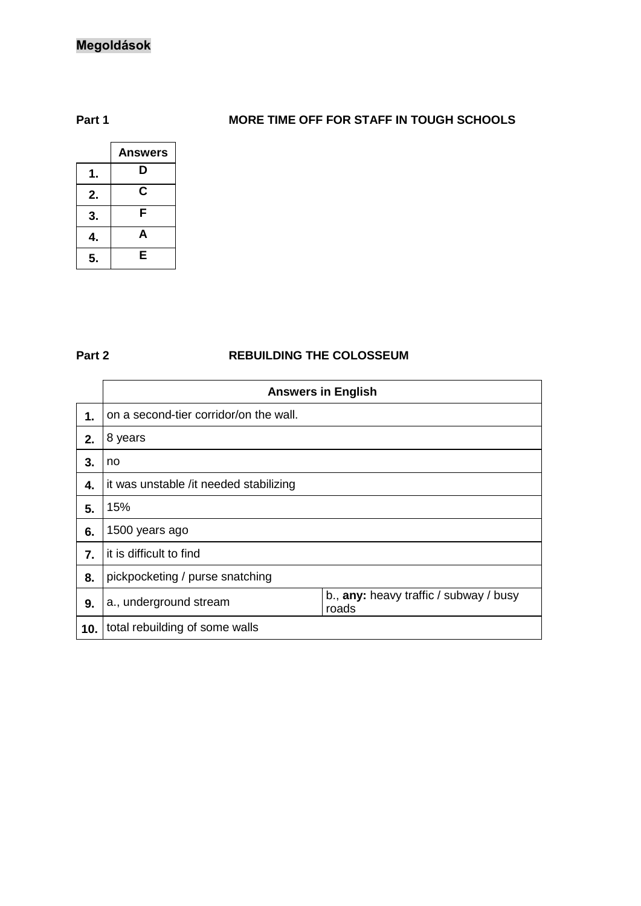# **Megoldások**

### **Part 1 MORE TIME OFF FOR STAFF IN TOUGH SCHOOLS**

|    | <b>Answers</b> |
|----|----------------|
|    | D              |
| 2. | С              |
| 3. | F              |
|    | A              |
| 5. | E              |

#### **Part 2 REBUILDING THE COLOSSEUM**

|     | <b>Answers in English</b>              |                                                 |  |
|-----|----------------------------------------|-------------------------------------------------|--|
| 1.  | on a second-tier corridor/on the wall. |                                                 |  |
| 2.  | 8 years                                |                                                 |  |
| 3.  | no                                     |                                                 |  |
| 4.  | it was unstable /it needed stabilizing |                                                 |  |
| 5.  | 15%                                    |                                                 |  |
| 6.  | 1500 years ago                         |                                                 |  |
| 7.  | it is difficult to find                |                                                 |  |
| 8.  | pickpocketing / purse snatching        |                                                 |  |
| 9.  | a., underground stream                 | b., any: heavy traffic / subway / busy<br>roads |  |
| 10. | total rebuilding of some walls         |                                                 |  |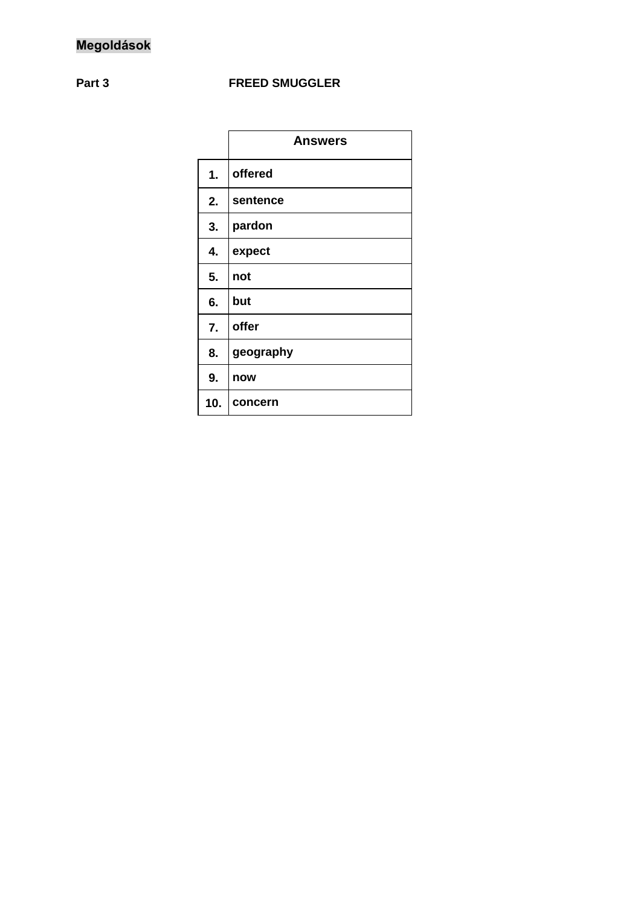## **Part 3 FREED SMUGGLER**

|     | <b>Answers</b> |
|-----|----------------|
| 1.  | offered        |
| 2.  | sentence       |
| 3.  | pardon         |
| 4.  | expect         |
| 5.  | not            |
| 6.  | but            |
| 7.  | offer          |
| 8.  | geography      |
| 9.  | now            |
| 10. | concern        |